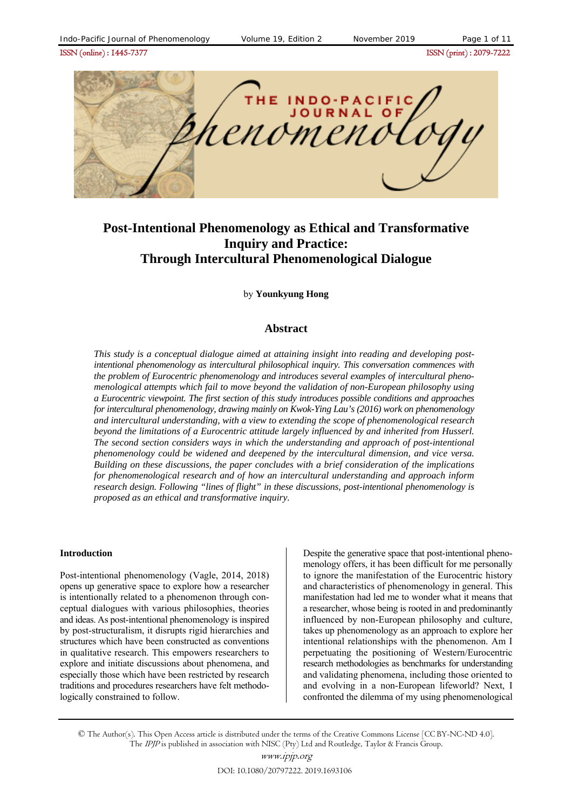ISSN (online) : 1445-7377ISSN (print) : 2079-7222



# **Post-Intentional Phenomenology as Ethical and Transformative Inquiry and Practice: Through Intercultural Phenomenological Dialogue**

by **Younkyung Hong**

#### **Abstract**

*This study is a conceptual dialogue aimed at attaining insight into reading and developing postintentional phenomenology as intercultural philosophical inquiry. This conversation commences with the problem of Eurocentric phenomenology and introduces several examples of intercultural phenomenological attempts which fail to move beyond the validation of non-European philosophy using a Eurocentric viewpoint. The first section of this study introduces possible conditions and approaches for intercultural phenomenology, drawing mainly on Kwok-Ying Lau's (2016) work on phenomenology and intercultural understanding, with a view to extending the scope of phenomenological research beyond the limitations of a Eurocentric attitude largely influenced by and inherited from Husserl. The second section considers ways in which the understanding and approach of post-intentional phenomenology could be widened and deepened by the intercultural dimension, and vice versa. Building on these discussions, the paper concludes with a brief consideration of the implications for phenomenological research and of how an intercultural understanding and approach inform research design. Following "lines of flight" in these discussions, post-intentional phenomenology is proposed as an ethical and transformative inquiry.*

#### **Introduction**

Post-intentional phenomenology (Vagle, 2014, 2018) opens up generative space to explore how a researcher is intentionally related to a phenomenon through conceptual dialogues with various philosophies, theories and ideas. As post-intentional phenomenology is inspired by post-structuralism, it disrupts rigid hierarchies and structures which have been constructed as conventions in qualitative research. This empowers researchers to explore and initiate discussions about phenomena, and especially those which have been restricted by research traditions and procedures researchers have felt methodologically constrained to follow.

Despite the generative space that post-intentional phenomenology offers, it has been difficult for me personally to ignore the manifestation of the Eurocentric history and characteristics of phenomenology in general. This manifestation had led me to wonder what it means that a researcher, whose being is rooted in and predominantly influenced by non-European philosophy and culture, takes up phenomenology as an approach to explore her intentional relationships with the phenomenon. Am I perpetuating the positioning of Western/Eurocentric research methodologies as benchmarks for understanding and validating phenomena, including those oriented to and evolving in a non-European lifeworld? Next, I confronted the dilemma of my using phenomenological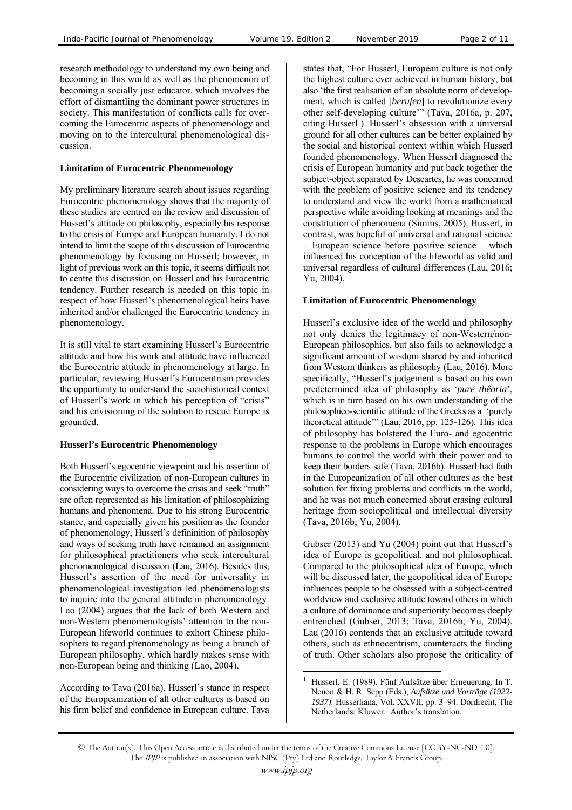research methodology to understand my own being and becoming in this world as well as the phenomenon of becoming a socially just educator, which involves the effort of dismantling the dominant power structures in society. This manifestation of conflicts calls for overcoming the Eurocentric aspects of phenomenology and moving on to the intercultural phenomenological discussion.

#### **Limitation of Eurocentric Phenomenology**

My preliminary literature search about issues regarding Eurocentric phenomenology shows that the majority of these studies are centred on the review and discussion of Husserl's attitude on philosophy, especially his response to the crisis of Europe and European humanity. I do not intend to limit the scope of this discussion of Eurocentric phenomenology by focusing on Husserl; however, in light of previous work on this topic, it seems difficult not to centre this discussion on Husserl and his Eurocentric tendency. Further research is needed on this topic in respect of how Husserl's phenomenological heirs have inherited and/or challenged the Eurocentric tendency in phenomenology.

It is still vital to start examining Husserl's Eurocentric attitude and how his work and attitude have influenced the Eurocentric attitude in phenomenology at large. In particular, reviewing Husserl's Eurocentrism provides the opportunity to understand the sociohistorical context of Husserl's work in which his perception of "crisis" and his envisioning of the solution to rescue Europe is grounded.

# **Husserl's Eurocentric Phenomenology**

Both Husserl's egocentric viewpoint and his assertion of the Eurocentric civilization of non-European cultures in considering ways to overcome the crisis and seek "truth" are often represented as his limitation of philosophizing humans and phenomena. Due to his strong Eurocentric stance, and especially given his position as the founder of phenomenology, Husserl's defininition of philosophy and ways of seeking truth have remained an assignment for philosophical practitioners who seek intercultural phenomenological discussion (Lau, 2016). Besides this, Husserl's assertion of the need for universality in phenomenological investigation led phenomenologists to inquire into the general attitude in phenomenology. Lao (2004) argues that the lack of both Western and non-Western phenomenologists' attention to the non-European lifeworld continues to exhort Chinese philosophers to regard phenomenology as being a branch of European philosophy, which hardly makes sense with non-European being and thinking (Lao, 2004).

According to Tava (2016a), Husserl's stance in respect of the Europeanization of all other cultures is based on his firm belief and confidence in European culture. Tava

states that, "For Husserl, European culture is not only the highest culture ever achieved in human history, but also 'the first realisation of an absolute norm of development, which is called [*berufen*] to revolutionize every other self-developing culture'" (Tava, 2016a, p. 207, citing Husserl<sup>1</sup>). Husserl's obsession with a universal ground for all other cultures can be better explained by the social and historical context within which Husserl founded phenomenology. When Husserl diagnosed the crisis of European humanity and put back together the subject-object separated by Descartes, he was concerned with the problem of positive science and its tendency to understand and view the world from a mathematical perspective while avoiding looking at meanings and the constitution of phenomena (Simms, 2005). Husserl, in contrast, was hopeful of universal and rational science – European science before positive science – which influenced his conception of the lifeworld as valid and universal regardless of cultural differences (Lau, 2016; Yu, 2004).

# **Limitation of Eurocentric Phenomenology**

Husserl's exclusive idea of the world and philosophy not only denies the legitimacy of non-Western/non-European philosophies, but also fails to acknowledge a significant amount of wisdom shared by and inherited from Western thinkers as philosophy (Lau, 2016). More specifically, "Husserl's judgement is based on his own predetermined idea of philosophy as '*pure thêoria*', which is in turn based on his own understanding of the philosophico-scientific attitude of the Greeks as a 'purely theoretical attitude'" (Lau, 2016, pp. 125-126). This idea of philosophy has bolstered the Euro- and egocentric response to the problems in Europe which encourages humans to control the world with their power and to keep their borders safe (Tava, 2016b). Husserl had faith in the Europeanization of all other cultures as the best solution for fixing problems and conflicts in the world, and he was not much concerned about erasing cultural heritage from sociopolitical and intellectual diversity (Tava, 2016b; Yu, 2004).

Gubser (2013) and Yu (2004) point out that Husserl's idea of Europe is geopolitical, and not philosophical. Compared to the philosophical idea of Europe, which will be discussed later, the geopolitical idea of Europe influences people to be obsessed with a subject-centred worldview and exclusive attitude toward others in which a culture of dominance and superiority becomes deeply entrenched (Gubser, 2013; Tava, 2016b; Yu, 2004). Lau (2016) contends that an exclusive attitude toward others, such as ethnocentrism, counteracts the finding of truth. Other scholars also propose the criticality of

 $\overline{a}$ 1 Husserl, E. (1989). Fünf Aufsätze über Erneuerung. In T. Nenon & H. R. Sepp (Eds.), *Aufsätze und Vorträge (1922- 1937)*. Husserliana, Vol. XXVII, pp. 3–94. Dordrecht, The Netherlands: Kluwer. Author's translation.

<sup>©</sup> The Author(s). This Open Access article is distributed under the terms of the Creative Commons License [CC BY-NC-ND 4.0]. The IPJP is published in association with NISC (Pty) Ltd and Routledge, Taylor & Francis Group.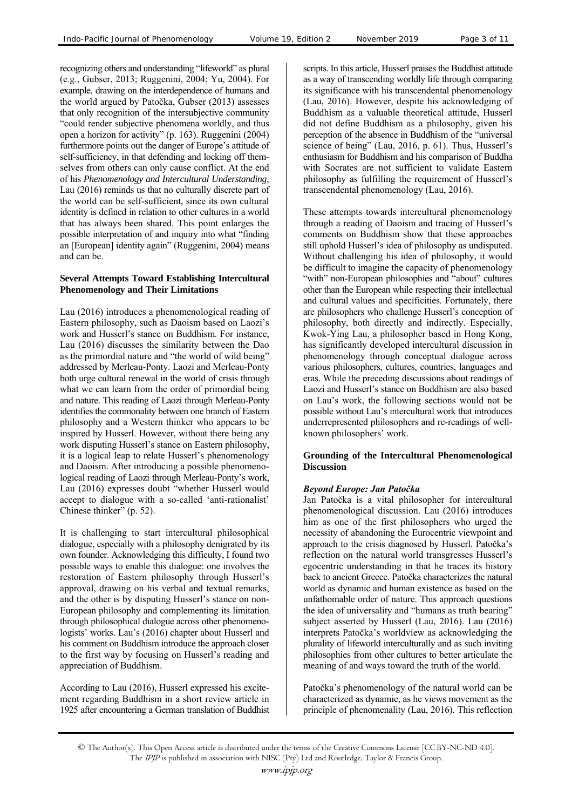recognizing others and understanding "lifeworld" as plural (e.g., Gubser, 2013; Ruggenini, 2004; Yu, 2004). For example, drawing on the interdependence of humans and the world argued by Patočka, Gubser (2013) assesses that only recognition of the intersubjective community "could render subjective phenomena worldly, and thus open a horizon for activity" (p. 163). Ruggenini (2004) furthermore points out the danger of Europe's attitude of self-sufficiency, in that defending and locking off themselves from others can only cause conflict. At the end of his *Phenomenology and Intercultural Understanding*, Lau (2016) reminds us that no culturally discrete part of the world can be self-sufficient, since its own cultural identity is defined in relation to other cultures in a world that has always been shared. This point enlarges the possible interpretation of and inquiry into what "finding an [European] identity again" (Ruggenini, 2004) means and can be.

#### **Several Attempts Toward Establishing Intercultural Phenomenology and Their Limitations**

Lau (2016) introduces a phenomenological reading of Eastern philosophy, such as Daoism based on Laozi's work and Husserl's stance on Buddhism. For instance, Lau (2016) discusses the similarity between the Dao as the primordial nature and "the world of wild being" addressed by Merleau-Ponty. Laozi and Merleau-Ponty both urge cultural renewal in the world of crisis through what we can learn from the order of primordial being and nature. This reading of Laozi through Merleau-Ponty identifies the commonality between one branch of Eastern philosophy and a Western thinker who appears to be inspired by Husserl. However, without there being any work disputing Husserl's stance on Eastern philosophy, it is a logical leap to relate Husserl's phenomenology and Daoism. After introducing a possible phenomenological reading of Laozi through Merleau-Ponty's work, Lau (2016) expresses doubt "whether Husserl would accept to dialogue with a so-called 'anti-rationalist' Chinese thinker" (p. 52).

It is challenging to start intercultural philosophical dialogue, especially with a philosophy denigrated by its own founder. Acknowledging this difficulty, I found two possible ways to enable this dialogue: one involves the restoration of Eastern philosophy through Husserl's approval, drawing on his verbal and textual remarks, and the other is by disputing Husserl's stance on non-European philosophy and complementing its limitation through philosophical dialogue across other phenomenologists' works. Lau's (2016) chapter about Husserl and his comment on Buddhism introduce the approach closer to the first way by focusing on Husserl's reading and appreciation of Buddhism.

According to Lau (2016), Husserl expressed his excitement regarding Buddhism in a short review article in 1925 after encountering a German translation of Buddhist scripts. In this article, Husserl praises the Buddhist attitude as a way of transcending worldly life through comparing its significance with his transcendental phenomenology (Lau, 2016). However, despite his acknowledging of Buddhism as a valuable theoretical attitude, Husserl did not define Buddhism as a philosophy, given his perception of the absence in Buddhism of the "universal science of being" (Lau, 2016, p. 61). Thus, Husserl's enthusiasm for Buddhism and his comparison of Buddha with Socrates are not sufficient to validate Eastern philosophy as fulfilling the requirement of Husserl's transcendental phenomenology (Lau, 2016).

These attempts towards intercultural phenomenology through a reading of Daoism and tracing of Husserl's comments on Buddhism show that these approaches still uphold Husserl's idea of philosophy as undisputed. Without challenging his idea of philosophy, it would be difficult to imagine the capacity of phenomenology "with" non-European philosophies and "about" cultures other than the European while respecting their intellectual and cultural values and specificities. Fortunately, there are philosophers who challenge Husserl's conception of philosophy, both directly and indirectly. Especially, Kwok-Ying Lau, a philosopher based in Hong Kong, has significantly developed intercultural discussion in phenomenology through conceptual dialogue across various philosophers, cultures, countries, languages and eras. While the preceding discussions about readings of Laozi and Husserl's stance on Buddhism are also based on Lau's work, the following sections would not be possible without Lau's intercultural work that introduces underrepresented philosophers and re-readings of wellknown philosophers' work.

#### **Grounding of the Intercultural Phenomenological Discussion**

# *Beyond Europe: Jan Patočka*

Jan Patočka is a vital philosopher for intercultural phenomenological discussion. Lau (2016) introduces him as one of the first philosophers who urged the necessity of abandoning the Eurocentric viewpoint and approach to the crisis diagnosed by Husserl. Patočka's reflection on the natural world transgresses Husserl's egocentric understanding in that he traces its history back to ancient Greece. Patočka characterizes the natural world as dynamic and human existence as based on the unfathomable order of nature. This approach questions the idea of universality and "humans as truth bearing" subject asserted by Husserl (Lau, 2016). Lau (2016) interprets Patočka's worldview as acknowledging the plurality of lifeworld interculturally and as such inviting philosophies from other cultures to better articulate the meaning of and ways toward the truth of the world.

Patočka's phenomenology of the natural world can be characterized as dynamic, as he views movement as the principle of phenomenality (Lau, 2016). This reflection

<sup>©</sup> The Author(s). This Open Access article is distributed under the terms of the Creative Commons License [CC BY-NC-ND 4.0]. The IPJP is published in association with NISC (Pty) Ltd and Routledge, Taylor & Francis Group.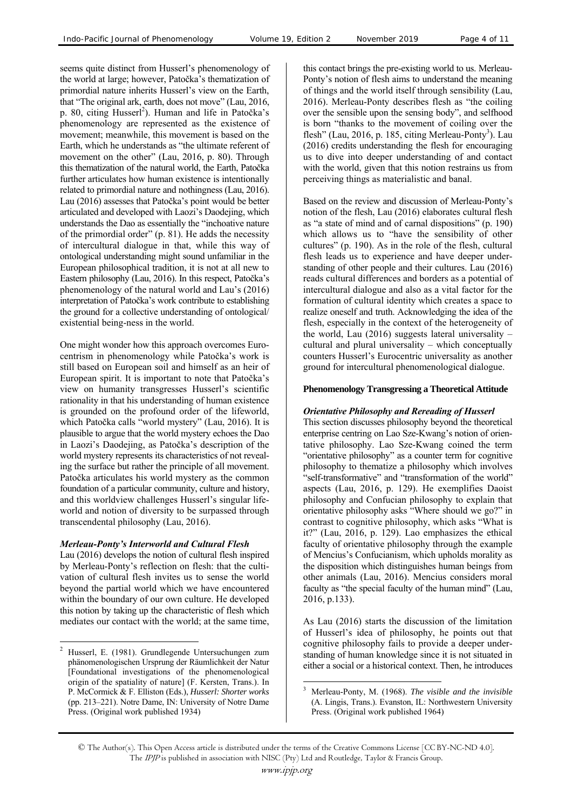seems quite distinct from Husserl's phenomenology of the world at large; however, Patočka's thematization of primordial nature inherits Husserl's view on the Earth, that "The original ark, earth, does not move" (Lau, 2016, p. 80, citing Husserl<sup>2</sup>). Human and life in Patočka's phenomenology are represented as the existence of movement; meanwhile, this movement is based on the Earth, which he understands as "the ultimate referent of movement on the other" (Lau, 2016, p. 80). Through this thematization of the natural world, the Earth, Patočka further articulates how human existence is intentionally related to primordial nature and nothingness (Lau, 2016). Lau (2016) assesses that Patočka's point would be better articulated and developed with Laozi's Daodejing, which understands the Dao as essentially the "inchoative nature of the primordial order" (p. 81). He adds the necessity of intercultural dialogue in that, while this way of ontological understanding might sound unfamiliar in the European philosophical tradition, it is not at all new to Eastern philosophy (Lau, 2016). In this respect, Patočka's phenomenology of the natural world and Lau's (2016) interpretation of Patočka's work contribute to establishing the ground for a collective understanding of ontological/ existential being-ness in the world.

One might wonder how this approach overcomes Eurocentrism in phenomenology while Patočka's work is still based on European soil and himself as an heir of European spirit. It is important to note that Patočka's view on humanity transgresses Husserl's scientific rationality in that his understanding of human existence is grounded on the profound order of the lifeworld, which Patočka calls "world mystery" (Lau, 2016). It is plausible to argue that the world mystery echoes the Dao in Laozi's Daodejing, as Patočka's description of the world mystery represents its characteristics of not revealing the surface but rather the principle of all movement. Patočka articulates his world mystery as the common foundation of a particular community, culture and history, and this worldview challenges Husserl's singular lifeworld and notion of diversity to be surpassed through transcendental philosophy (Lau, 2016).

#### *Merleau-Ponty's Interworld and Cultural Flesh*

Lau (2016) develops the notion of cultural flesh inspired by Merleau-Ponty's reflection on flesh: that the cultivation of cultural flesh invites us to sense the world beyond the partial world which we have encountered within the boundary of our own culture. He developed this notion by taking up the characteristic of flesh which mediates our contact with the world; at the same time,

 $\overline{a}$ 

this contact brings the pre-existing world to us. Merleau-Ponty's notion of flesh aims to understand the meaning of things and the world itself through sensibility (Lau, 2016). Merleau-Ponty describes flesh as "the coiling over the sensible upon the sensing body", and selfhood is born "thanks to the movement of coiling over the flesh" (Lau, 2016, p. 185, citing Merleau-Ponty<sup>3</sup>). Lau (2016) credits understanding the flesh for encouraging us to dive into deeper understanding of and contact with the world, given that this notion restrains us from perceiving things as materialistic and banal.

Based on the review and discussion of Merleau-Ponty's notion of the flesh, Lau (2016) elaborates cultural flesh as "a state of mind and of carnal dispositions" (p. 190) which allows us to "have the sensibility of other cultures" (p. 190). As in the role of the flesh, cultural flesh leads us to experience and have deeper understanding of other people and their cultures. Lau (2016) reads cultural differences and borders as a potential of intercultural dialogue and also as a vital factor for the formation of cultural identity which creates a space to realize oneself and truth. Acknowledging the idea of the flesh, especially in the context of the heterogeneity of the world, Lau  $(2016)$  suggests lateral universality – cultural and plural universality – which conceptually counters Husserl's Eurocentric universality as another ground for intercultural phenomenological dialogue.

# **Phenomenology Transgressing a Theoretical Attitude**

#### *Orientative Philosophy and Rereading of Husserl*

This section discusses philosophy beyond the theoretical enterprise centring on Lao Sze-Kwang's notion of orientative philosophy. Lao Sze-Kwang coined the term "orientative philosophy" as a counter term for cognitive philosophy to thematize a philosophy which involves "self-transformative" and "transformation of the world" aspects (Lau, 2016, p. 129). He exemplifies Daoist philosophy and Confucian philosophy to explain that orientative philosophy asks "Where should we go?" in contrast to cognitive philosophy, which asks "What is it?" (Lau, 2016, p. 129). Lao emphasizes the ethical faculty of orientative philosophy through the example of Mencius's Confucianism, which upholds morality as the disposition which distinguishes human beings from other animals (Lau, 2016). Mencius considers moral faculty as "the special faculty of the human mind" (Lau, 2016, p.133).

As Lau (2016) starts the discussion of the limitation of Husserl's idea of philosophy, he points out that cognitive philosophy fails to provide a deeper understanding of human knowledge since it is not situated in either a social or a historical context. Then, he introduces

<sup>2</sup> Husserl, E. (1981). Grundlegende Untersuchungen zum phänomenologischen Ursprung der Räumlichkeit der Natur [Foundational investigations of the phenomenological origin of the spatiality of nature] (F. Kersten, Trans.). In P. McCormick & F. Elliston (Eds.), *Husserl: Shorter works* (pp. 213–221). Notre Dame, IN: University of Notre Dame Press. (Original work published 1934)

 $\overline{a}$ 3 Merleau-Ponty, M. (1968). *The visible and the invisible* (A. Lingis, Trans.). Evanston, IL: Northwestern University Press. (Original work published 1964)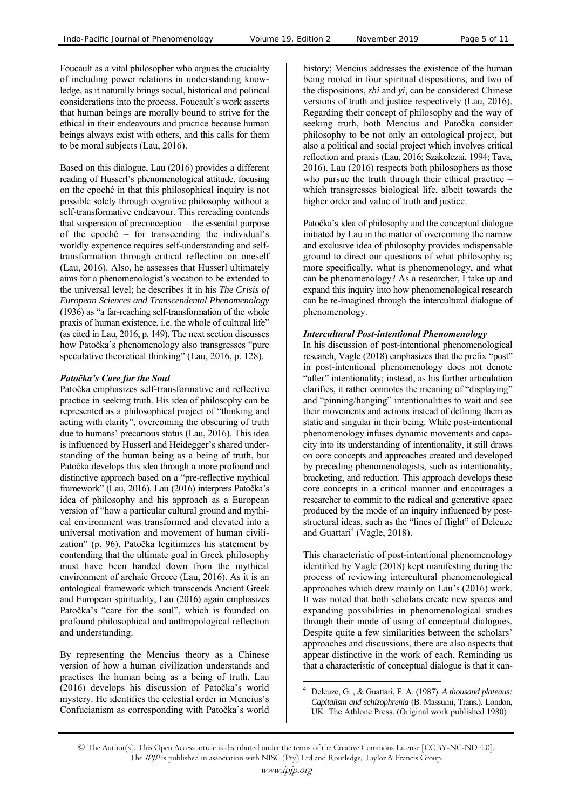Foucault as a vital philosopher who argues the cruciality of including power relations in understanding knowledge, as it naturally brings social, historical and political considerations into the process. Foucault's work asserts that human beings are morally bound to strive for the ethical in their endeavours and practice because human beings always exist with others, and this calls for them to be moral subjects (Lau, 2016).

Based on this dialogue, Lau (2016) provides a different reading of Husserl's phenomenological attitude, focusing on the epoché in that this philosophical inquiry is not possible solely through cognitive philosophy without a self-transformative endeavour. This rereading contends that suspension of preconception – the essential purpose of the epoché – for transcending the individual's worldly experience requires self-understanding and selftransformation through critical reflection on oneself (Lau, 2016). Also, he assesses that Husserl ultimately aims for a phenomenologist's vocation to be extended to the universal level; he describes it in his *The Crisis of European Sciences and Transcendental Phenomenology* (1936) as "a far-reaching self-transformation of the whole praxis of human existence, i.e. the whole of cultural life" (as cited in Lau, 2016, p. 149). The next section discusses how Patočka's phenomenology also transgresses "pure speculative theoretical thinking" (Lau, 2016, p. 128).

# *Patočka's Care for the Soul*

Patočka emphasizes self-transformative and reflective practice in seeking truth. His idea of philosophy can be represented as a philosophical project of "thinking and acting with clarity", overcoming the obscuring of truth due to humans' precarious status (Lau, 2016). This idea is influenced by Husserl and Heidegger's shared understanding of the human being as a being of truth, but Patočka develops this idea through a more profound and distinctive approach based on a "pre-reflective mythical framework" (Lau, 2016). Lau (2016) interprets Patočka's idea of philosophy and his approach as a European version of "how a particular cultural ground and mythical environment was transformed and elevated into a universal motivation and movement of human civilization" (p. 96). Patočka legitimizes his statement by contending that the ultimate goal in Greek philosophy must have been handed down from the mythical environment of archaic Greece (Lau, 2016). As it is an ontological framework which transcends Ancient Greek and European spirituality, Lau (2016) again emphasizes Patočka's "care for the soul", which is founded on profound philosophical and anthropological reflection and understanding.

By representing the Mencius theory as a Chinese version of how a human civilization understands and practises the human being as a being of truth, Lau (2016) develops his discussion of Patočka's world mystery. He identifies the celestial order in Mencius's Confucianism as corresponding with Patočka's world history; Mencius addresses the existence of the human being rooted in four spiritual dispositions, and two of the dispositions, *zhi* and *yi*, can be considered Chinese versions of truth and justice respectively (Lau, 2016). Regarding their concept of philosophy and the way of seeking truth, both Mencius and Patočka consider philosophy to be not only an ontological project, but also a political and social project which involves critical reflection and praxis (Lau, 2016; Szakolczai, 1994; Tava, 2016). Lau (2016) respects both philosophers as those who pursue the truth through their ethical practice – which transgresses biological life, albeit towards the higher order and value of truth and justice.

Patočka's idea of philosophy and the conceptual dialogue initiated by Lau in the matter of overcoming the narrow and exclusive idea of philosophy provides indispensable ground to direct our questions of what philosophy is; more specifically, what is phenomenology, and what can be phenomenology? As a researcher, I take up and expand this inquiry into how phenomenological research can be re-imagined through the intercultural dialogue of phenomenology.

# *Intercultural Post-intentional Phenomenology*

In his discussion of post-intentional phenomenological research, Vagle (2018) emphasizes that the prefix "post" in post-intentional phenomenology does not denote "after" intentionality; instead, as his further articulation clarifies, it rather connotes the meaning of "displaying" and "pinning/hanging" intentionalities to wait and see their movements and actions instead of defining them as static and singular in their being. While post-intentional phenomenology infuses dynamic movements and capacity into its understanding of intentionality, it still draws on core concepts and approaches created and developed by preceding phenomenologists, such as intentionality, bracketing, and reduction. This approach develops these core concepts in a critical manner and encourages a researcher to commit to the radical and generative space produced by the mode of an inquiry influenced by poststructural ideas, such as the "lines of flight" of Deleuze and Guattari<sup>4</sup> (Vagle, 2018).

This characteristic of post-intentional phenomenology identified by Vagle (2018) kept manifesting during the process of reviewing intercultural phenomenological approaches which drew mainly on Lau's (2016) work. It was noted that both scholars create new spaces and expanding possibilities in phenomenological studies through their mode of using of conceptual dialogues. Despite quite a few similarities between the scholars' approaches and discussions, there are also aspects that appear distinctive in the work of each. Reminding us that a characteristic of conceptual dialogue is that it can-

 $\overline{a}$ 4 Deleuze, G. , & Guattari, F. A. (1987). *A thousand plateaus: Capitalism and schizophrenia* (B. Massumi, Trans.). London, UK: The Athlone Press. (Original work published 1980)

<sup>©</sup> The Author(s). This Open Access article is distributed under the terms of the Creative Commons License [CC BY-NC-ND 4.0]. The IPJP is published in association with NISC (Pty) Ltd and Routledge, Taylor & Francis Group.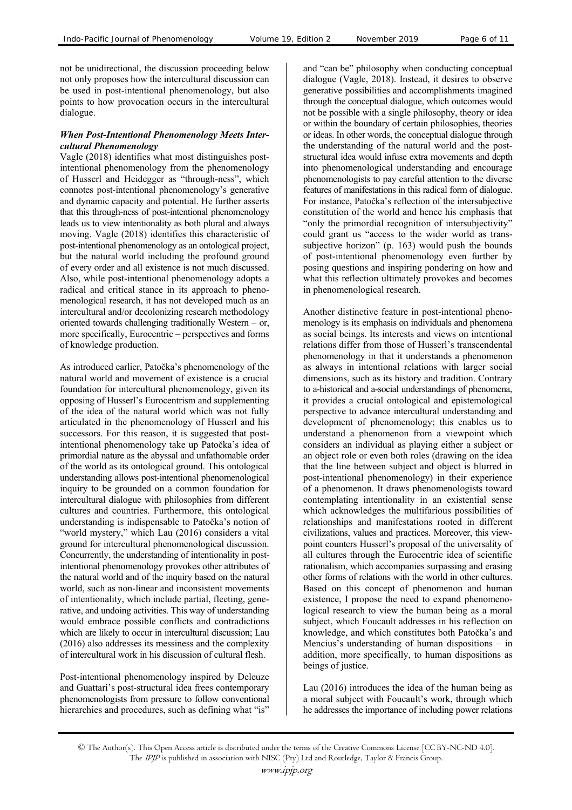not be unidirectional, the discussion proceeding below not only proposes how the intercultural discussion can be used in post-intentional phenomenology, but also points to how provocation occurs in the intercultural dialogue.

#### *When Post-Intentional Phenomenology Meets Intercultural Phenomenology*

Vagle (2018) identifies what most distinguishes postintentional phenomenology from the phenomenology of Husserl and Heidegger as "through-ness", which connotes post-intentional phenomenology's generative and dynamic capacity and potential. He further asserts that this through-ness of post-intentional phenomenology leads us to view intentionality as both plural and always moving. Vagle (2018) identifies this characteristic of post-intentional phenomenology as an ontological project, but the natural world including the profound ground of every order and all existence is not much discussed. Also, while post-intentional phenomenology adopts a radical and critical stance in its approach to phenomenological research, it has not developed much as an intercultural and/or decolonizing research methodology oriented towards challenging traditionally Western – or, more specifically, Eurocentric – perspectives and forms of knowledge production.

As introduced earlier, Patočka's phenomenology of the natural world and movement of existence is a crucial foundation for intercultural phenomenology, given its opposing of Husserl's Eurocentrism and supplementing of the idea of the natural world which was not fully articulated in the phenomenology of Husserl and his successors. For this reason, it is suggested that postintentional phenomenology take up Patočka's idea of primordial nature as the abyssal and unfathomable order of the world as its ontological ground. This ontological understanding allows post-intentional phenomenological inquiry to be grounded on a common foundation for intercultural dialogue with philosophies from different cultures and countries. Furthermore, this ontological understanding is indispensable to Patočka's notion of "world mystery," which Lau (2016) considers a vital ground for intercultural phenomenological discussion. Concurrently, the understanding of intentionality in postintentional phenomenology provokes other attributes of the natural world and of the inquiry based on the natural world, such as non-linear and inconsistent movements of intentionality, which include partial, fleeting, generative, and undoing activities. This way of understanding would embrace possible conflicts and contradictions which are likely to occur in intercultural discussion; Lau (2016) also addresses its messiness and the complexity of intercultural work in his discussion of cultural flesh.

Post-intentional phenomenology inspired by Deleuze and Guattari's post-structural idea frees contemporary phenomenologists from pressure to follow conventional hierarchies and procedures, such as defining what "is" and "can be" philosophy when conducting conceptual dialogue (Vagle, 2018). Instead, it desires to observe generative possibilities and accomplishments imagined through the conceptual dialogue, which outcomes would not be possible with a single philosophy, theory or idea or within the boundary of certain philosophies, theories or ideas. In other words, the conceptual dialogue through the understanding of the natural world and the poststructural idea would infuse extra movements and depth into phenomenological understanding and encourage phenomenologists to pay careful attention to the diverse features of manifestations in this radical form of dialogue. For instance, Patočka's reflection of the intersubjective constitution of the world and hence his emphasis that "only the primordial recognition of intersubjectivity" could grant us "access to the wider world as transsubjective horizon" (p. 163) would push the bounds of post-intentional phenomenology even further by posing questions and inspiring pondering on how and what this reflection ultimately provokes and becomes in phenomenological research.

Another distinctive feature in post-intentional phenomenology is its emphasis on individuals and phenomena as social beings. Its interests and views on intentional relations differ from those of Husserl's transcendental phenomenology in that it understands a phenomenon as always in intentional relations with larger social dimensions, such as its history and tradition. Contrary to a-historical and a-social understandings of phenomena, it provides a crucial ontological and epistemological perspective to advance intercultural understanding and development of phenomenology; this enables us to understand a phenomenon from a viewpoint which considers an individual as playing either a subject or an object role or even both roles (drawing on the idea that the line between subject and object is blurred in post-intentional phenomenology) in their experience of a phenomenon. It draws phenomenologists toward contemplating intentionality in an existential sense which acknowledges the multifarious possibilities of relationships and manifestations rooted in different civilizations, values and practices. Moreover, this viewpoint counters Husserl's proposal of the universality of all cultures through the Eurocentric idea of scientific rationalism, which accompanies surpassing and erasing other forms of relations with the world in other cultures. Based on this concept of phenomenon and human existence, I propose the need to expand phenomenological research to view the human being as a moral subject, which Foucault addresses in his reflection on knowledge, and which constitutes both Patočka's and Mencius's understanding of human dispositions – in addition, more specifically, to human dispositions as beings of justice.

Lau (2016) introduces the idea of the human being as a moral subject with Foucault's work, through which he addresses the importance of including power relations

<sup>©</sup> The Author(s). This Open Access article is distributed under the terms of the Creative Commons License [CC BY-NC-ND 4.0]. The IPJP is published in association with NISC (Pty) Ltd and Routledge, Taylor & Francis Group.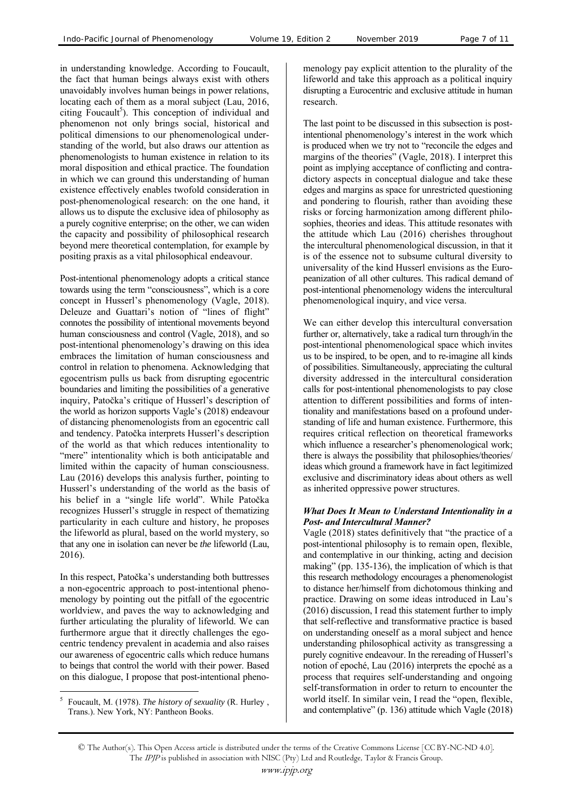in understanding knowledge. According to Foucault, the fact that human beings always exist with others unavoidably involves human beings in power relations, locating each of them as a moral subject (Lau, 2016, citing Foucault<sup>5</sup>). This conception of individual and phenomenon not only brings social, historical and political dimensions to our phenomenological understanding of the world, but also draws our attention as phenomenologists to human existence in relation to its moral disposition and ethical practice. The foundation in which we can ground this understanding of human existence effectively enables twofold consideration in post-phenomenological research: on the one hand, it allows us to dispute the exclusive idea of philosophy as a purely cognitive enterprise; on the other, we can widen the capacity and possibility of philosophical research beyond mere theoretical contemplation, for example by positing praxis as a vital philosophical endeavour.

Post-intentional phenomenology adopts a critical stance towards using the term "consciousness", which is a core concept in Husserl's phenomenology (Vagle, 2018). Deleuze and Guattari's notion of "lines of flight" connotes the possibility of intentional movements beyond human consciousness and control (Vagle, 2018), and so post-intentional phenomenology's drawing on this idea embraces the limitation of human consciousness and control in relation to phenomena. Acknowledging that egocentrism pulls us back from disrupting egocentric boundaries and limiting the possibilities of a generative inquiry, Patočka's critique of Husserl's description of the world as horizon supports Vagle's (2018) endeavour of distancing phenomenologists from an egocentric call and tendency. Patočka interprets Husserl's description of the world as that which reduces intentionality to "mere" intentionality which is both anticipatable and limited within the capacity of human consciousness. Lau (2016) develops this analysis further, pointing to Husserl's understanding of the world as the basis of his belief in a "single life world". While Patočka recognizes Husserl's struggle in respect of thematizing particularity in each culture and history, he proposes the lifeworld as plural, based on the world mystery, so that any one in isolation can never be *the* lifeworld (Lau, 2016).

In this respect, Patočka's understanding both buttresses a non-egocentric approach to post-intentional phenomenology by pointing out the pitfall of the egocentric worldview, and paves the way to acknowledging and further articulating the plurality of lifeworld. We can furthermore argue that it directly challenges the egocentric tendency prevalent in academia and also raises our awareness of egocentric calls which reduce humans to beings that control the world with their power. Based on this dialogue, I propose that post-intentional pheno-

5 Foucault, M. (1978). *The history of sexuality* (R. Hurley , Trans.). New York, NY: Pantheon Books.

 $\overline{a}$ 

menology pay explicit attention to the plurality of the lifeworld and take this approach as a political inquiry disrupting a Eurocentric and exclusive attitude in human research.

The last point to be discussed in this subsection is postintentional phenomenology's interest in the work which is produced when we try not to "reconcile the edges and margins of the theories" (Vagle, 2018). I interpret this point as implying acceptance of conflicting and contradictory aspects in conceptual dialogue and take these edges and margins as space for unrestricted questioning and pondering to flourish, rather than avoiding these risks or forcing harmonization among different philosophies, theories and ideas. This attitude resonates with the attitude which Lau (2016) cherishes throughout the intercultural phenomenological discussion, in that it is of the essence not to subsume cultural diversity to universality of the kind Husserl envisions as the Europeanization of all other cultures. This radical demand of post-intentional phenomenology widens the intercultural phenomenological inquiry, and vice versa.

We can either develop this intercultural conversation further or, alternatively, take a radical turn through/in the post-intentional phenomenological space which invites us to be inspired, to be open, and to re-imagine all kinds of possibilities. Simultaneously, appreciating the cultural diversity addressed in the intercultural consideration calls for post-intentional phenomenologists to pay close attention to different possibilities and forms of intentionality and manifestations based on a profound understanding of life and human existence. Furthermore, this requires critical reflection on theoretical frameworks which influence a researcher's phenomenological work; there is always the possibility that philosophies/theories/ ideas which ground a framework have in fact legitimized exclusive and discriminatory ideas about others as well as inherited oppressive power structures.

#### *What Does It Mean to Understand Intentionality in a Post- and Intercultural Manner?*

Vagle (2018) states definitively that "the practice of a post-intentional philosophy is to remain open, flexible, and contemplative in our thinking, acting and decision making" (pp. 135-136), the implication of which is that this research methodology encourages a phenomenologist to distance her/himself from dichotomous thinking and practice. Drawing on some ideas introduced in Lau's (2016) discussion, I read this statement further to imply that self-reflective and transformative practice is based on understanding oneself as a moral subject and hence understanding philosophical activity as transgressing a purely cognitive endeavour. In the rereading of Husserl's notion of epoché, Lau (2016) interprets the epoché as a process that requires self-understanding and ongoing self-transformation in order to return to encounter the world itself. In similar vein, I read the "open, flexible, and contemplative" (p. 136) attitude which Vagle (2018)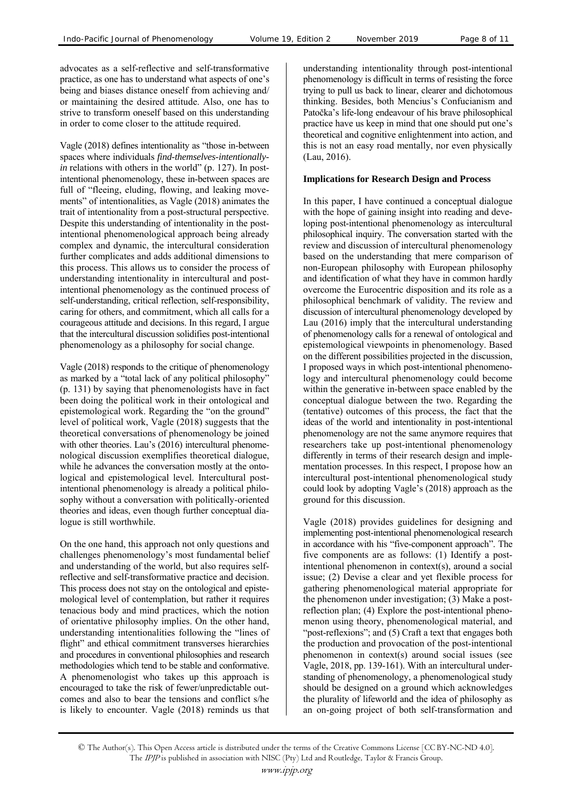advocates as a self-reflective and self-transformative practice, as one has to understand what aspects of one's being and biases distance oneself from achieving and/ or maintaining the desired attitude. Also, one has to strive to transform oneself based on this understanding in order to come closer to the attitude required.

Vagle (2018) defines intentionality as "those in-between spaces where individuals *find-themselves-intentionallyin* relations with others in the world" (p. 127). In postintentional phenomenology, these in-between spaces are full of "fleeing, eluding, flowing, and leaking movements" of intentionalities, as Vagle (2018) animates the trait of intentionality from a post-structural perspective. Despite this understanding of intentionality in the postintentional phenomenological approach being already complex and dynamic, the intercultural consideration further complicates and adds additional dimensions to this process. This allows us to consider the process of understanding intentionality in intercultural and postintentional phenomenology as the continued process of self-understanding, critical reflection, self-responsibility, caring for others, and commitment, which all calls for a courageous attitude and decisions. In this regard, I argue that the intercultural discussion solidifies post-intentional phenomenology as a philosophy for social change.

Vagle (2018) responds to the critique of phenomenology as marked by a "total lack of any political philosophy" (p. 131) by saying that phenomenologists have in fact been doing the political work in their ontological and epistemological work. Regarding the "on the ground" level of political work, Vagle (2018) suggests that the theoretical conversations of phenomenology be joined with other theories. Lau's (2016) intercultural phenomenological discussion exemplifies theoretical dialogue, while he advances the conversation mostly at the ontological and epistemological level. Intercultural postintentional phenomenology is already a political philosophy without a conversation with politically-oriented theories and ideas, even though further conceptual dialogue is still worthwhile.

On the one hand, this approach not only questions and challenges phenomenology's most fundamental belief and understanding of the world, but also requires selfreflective and self-transformative practice and decision. This process does not stay on the ontological and epistemological level of contemplation, but rather it requires tenacious body and mind practices, which the notion of orientative philosophy implies. On the other hand, understanding intentionalities following the "lines of flight" and ethical commitment transverses hierarchies and procedures in conventional philosophies and research methodologies which tend to be stable and conformative. A phenomenologist who takes up this approach is encouraged to take the risk of fewer/unpredictable outcomes and also to bear the tensions and conflict s/he is likely to encounter. Vagle (2018) reminds us that

understanding intentionality through post-intentional phenomenology is difficult in terms of resisting the force trying to pull us back to linear, clearer and dichotomous thinking. Besides, both Mencius's Confucianism and Patočka's life-long endeavour of his brave philosophical practice have us keep in mind that one should put one's theoretical and cognitive enlightenment into action, and this is not an easy road mentally, nor even physically (Lau, 2016).

#### **Implications for Research Design and Process**

In this paper, I have continued a conceptual dialogue with the hope of gaining insight into reading and developing post-intentional phenomenology as intercultural philosophical inquiry. The conversation started with the review and discussion of intercultural phenomenology based on the understanding that mere comparison of non-European philosophy with European philosophy and identification of what they have in common hardly overcome the Eurocentric disposition and its role as a philosophical benchmark of validity. The review and discussion of intercultural phenomenology developed by Lau (2016) imply that the intercultural understanding of phenomenology calls for a renewal of ontological and epistemological viewpoints in phenomenology. Based on the different possibilities projected in the discussion, I proposed ways in which post-intentional phenomenology and intercultural phenomenology could become within the generative in-between space enabled by the conceptual dialogue between the two. Regarding the (tentative) outcomes of this process, the fact that the ideas of the world and intentionality in post-intentional phenomenology are not the same anymore requires that researchers take up post-intentional phenomenology differently in terms of their research design and implementation processes. In this respect, I propose how an intercultural post-intentional phenomenological study could look by adopting Vagle's (2018) approach as the ground for this discussion.

Vagle (2018) provides guidelines for designing and implementing post-intentional phenomenological research in accordance with his "five-component approach". The five components are as follows: (1) Identify a postintentional phenomenon in context(s), around a social issue; (2) Devise a clear and yet flexible process for gathering phenomenological material appropriate for the phenomenon under investigation; (3) Make a postreflection plan; (4) Explore the post-intentional phenomenon using theory, phenomenological material, and "post-reflexions"; and (5) Craft a text that engages both the production and provocation of the post-intentional phenomenon in context(s) around social issues (see Vagle, 2018, pp. 139-161). With an intercultural understanding of phenomenology, a phenomenological study should be designed on a ground which acknowledges the plurality of lifeworld and the idea of philosophy as an on-going project of both self-transformation and

<sup>©</sup> The Author(s). This Open Access article is distributed under the terms of the Creative Commons License [CC BY-NC-ND 4.0]. The IPJP is published in association with NISC (Pty) Ltd and Routledge, Taylor & Francis Group.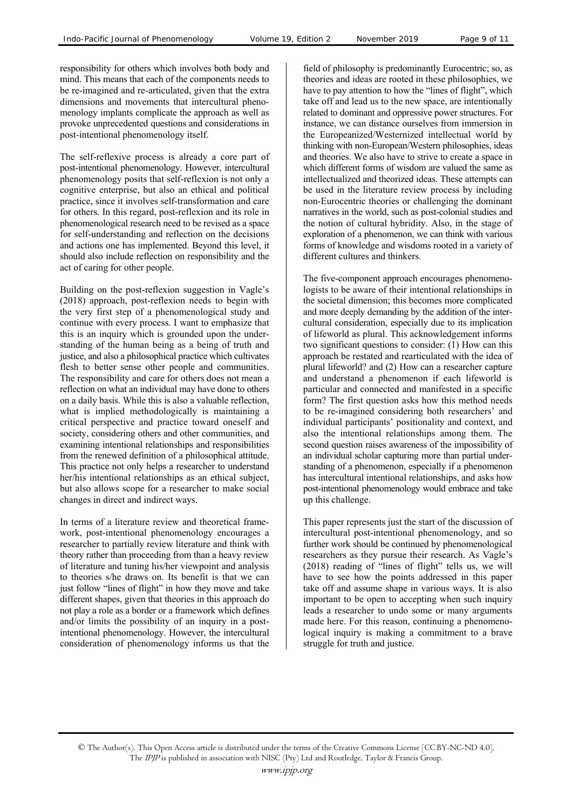responsibility for others which involves both body and mind. This means that each of the components needs to be re-imagined and re-articulated, given that the extra dimensions and movements that intercultural phenomenology implants complicate the approach as well as provoke unprecedented questions and considerations in post-intentional phenomenology itself.

The self-reflexive process is already a core part of post-intentional phenomenology. However, intercultural phenomenology posits that self-reflexion is not only a cognitive enterprise, but also an ethical and political practice, since it involves self-transformation and care for others. In this regard, post-reflexion and its role in phenomenological research need to be revised as a space for self-understanding and reflection on the decisions and actions one has implemented. Beyond this level, it should also include reflection on responsibility and the act of caring for other people.

Building on the post-reflexion suggestion in Vagle's (2018) approach, post-reflexion needs to begin with the very first step of a phenomenological study and continue with every process. I want to emphasize that this is an inquiry which is grounded upon the understanding of the human being as a being of truth and justice, and also a philosophical practice which cultivates flesh to better sense other people and communities. The responsibility and care for others does not mean a reflection on what an individual may have done to others on a daily basis. While this is also a valuable reflection, what is implied methodologically is maintaining a critical perspective and practice toward oneself and society, considering others and other communities, and examining intentional relationships and responsibilities from the renewed definition of a philosophical attitude. This practice not only helps a researcher to understand her/his intentional relationships as an ethical subject, but also allows scope for a researcher to make social changes in direct and indirect ways.

In terms of a literature review and theoretical framework, post-intentional phenomenology encourages a researcher to partially review literature and think with theory rather than proceeding from than a heavy review of literature and tuning his/her viewpoint and analysis to theories s/he draws on. Its benefit is that we can just follow "lines of flight" in how they move and take different shapes, given that theories in this approach do not play a role as a border or a framework which defines and/or limits the possibility of an inquiry in a postintentional phenomenology. However, the intercultural consideration of phenomenology informs us that the field of philosophy is predominantly Eurocentric; so, as theories and ideas are rooted in these philosophies, we have to pay attention to how the "lines of flight", which take off and lead us to the new space, are intentionally related to dominant and oppressive power structures. For instance, we can distance ourselves from immersion in the Europeanized/Westernized intellectual world by thinking with non-European/Western philosophies, ideas and theories. We also have to strive to create a space in which different forms of wisdom are valued the same as intellectualized and theorized ideas. These attempts can be used in the literature review process by including non-Eurocentric theories or challenging the dominant narratives in the world, such as post-colonial studies and the notion of cultural hybridity. Also, in the stage of exploration of a phenomenon, we can think with various forms of knowledge and wisdoms rooted in a variety of different cultures and thinkers.

The five-component approach encourages phenomenologists to be aware of their intentional relationships in the societal dimension; this becomes more complicated and more deeply demanding by the addition of the intercultural consideration, especially due to its implication of lifeworld as plural. This acknowledgement informs two significant questions to consider: (1) How can this approach be restated and rearticulated with the idea of plural lifeworld? and (2) How can a researcher capture and understand a phenomenon if each lifeworld is particular and connected and manifested in a specific form? The first question asks how this method needs to be re-imagined considering both researchers' and individual participants' positionality and context, and also the intentional relationships among them. The second question raises awareness of the impossibility of an individual scholar capturing more than partial understanding of a phenomenon, especially if a phenomenon has intercultural intentional relationships, and asks how post-intentional phenomenology would embrace and take up this challenge.

This paper represents just the start of the discussion of intercultural post-intentional phenomenology, and so further work should be continued by phenomenological researchers as they pursue their research. As Vagle's  $(2018)$  reading of "lines of flight" tells us, we will have to see how the points addressed in this paper take off and assume shape in various ways. It is also important to be open to accepting when such inquiry leads a researcher to undo some or many arguments made here. For this reason, continuing a phenomenological inquiry is making a commitment to a brave struggle for truth and justice.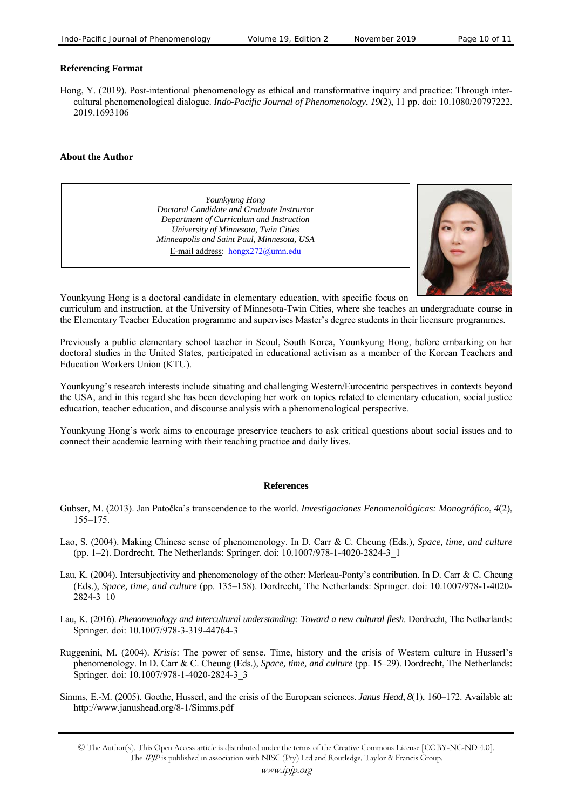#### **Referencing Format**

Hong, Y. (2019). Post-intentional phenomenology as ethical and transformative inquiry and practice: Through intercultural phenomenological dialogue. *Indo-Pacific Journal of Phenomenology*, *19*(2), 11 pp. doi: 10.1080/20797222. 2019.1693106

#### **About the Author**

*Younkyung Hong Doctoral Candidate and Graduate Instructor Department of Curriculum and Instruction University of Minnesota, Twin Cities Minneapolis and Saint Paul, Minnesota, USA*  E-mail address: hongx272@umn.edu



Younkyung Hong is a doctoral candidate in elementary education, with specific focus on

curriculum and instruction, at the University of Minnesota-Twin Cities, where she teaches an undergraduate course in the Elementary Teacher Education programme and supervises Master's degree students in their licensure programmes.

Previously a public elementary school teacher in Seoul, South Korea, Younkyung Hong, before embarking on her doctoral studies in the United States, participated in educational activism as a member of the Korean Teachers and Education Workers Union (KTU).

Younkyung's research interests include situating and challenging Western/Eurocentric perspectives in contexts beyond the USA, and in this regard she has been developing her work on topics related to elementary education, social justice education, teacher education, and discourse analysis with a phenomenological perspective.

Younkyung Hong's work aims to encourage preservice teachers to ask critical questions about social issues and to connect their academic learning with their teaching practice and daily lives.

#### **References**

- Gubser, M. (2013). Jan Patočka's transcendence to the world. *Investigaciones Fenomenológicas: Monográfico*, *4*(2), 155–175.
- Lao, S. (2004). Making Chinese sense of phenomenology. In D. Carr & C. Cheung (Eds.), *Space, time, and culture* (pp. 1–2). Dordrecht, The Netherlands: Springer. doi: 10.1007/978-1-4020-2824-3\_1
- Lau, K. (2004). Intersubjectivity and phenomenology of the other: Merleau-Ponty's contribution. In D. Carr & C. Cheung (Eds.), *Space, time, and culture* (pp. 135–158). Dordrecht, The Netherlands: Springer. doi: 10.1007/978-1-4020- 2824-3\_10
- Lau, K. (2016). *Phenomenology and intercultural understanding: Toward a new cultural flesh*. Dordrecht, The Netherlands: Springer. doi: 10.1007/978-3-319-44764-3
- Ruggenini, M. (2004). *Krisis*: The power of sense. Time, history and the crisis of Western culture in Husserl's phenomenology. In D. Carr & C. Cheung (Eds.), *Space, time, and culture* (pp. 15–29). Dordrecht, The Netherlands: Springer. doi: 10.1007/978-1-4020-2824-3\_3
- Simms, E.-M. (2005). Goethe, Husserl, and the crisis of the European sciences. *Janus Head*, *8*(1), 160–172. Available at: http://www.janushead.org/8-1/Simms.pdf

<sup>©</sup> The Author(s). This Open Access article is distributed under the terms of the Creative Commons License [CC BY-NC-ND 4.0]. The IPJP is published in association with NISC (Pty) Ltd and Routledge, Taylor & Francis Group.